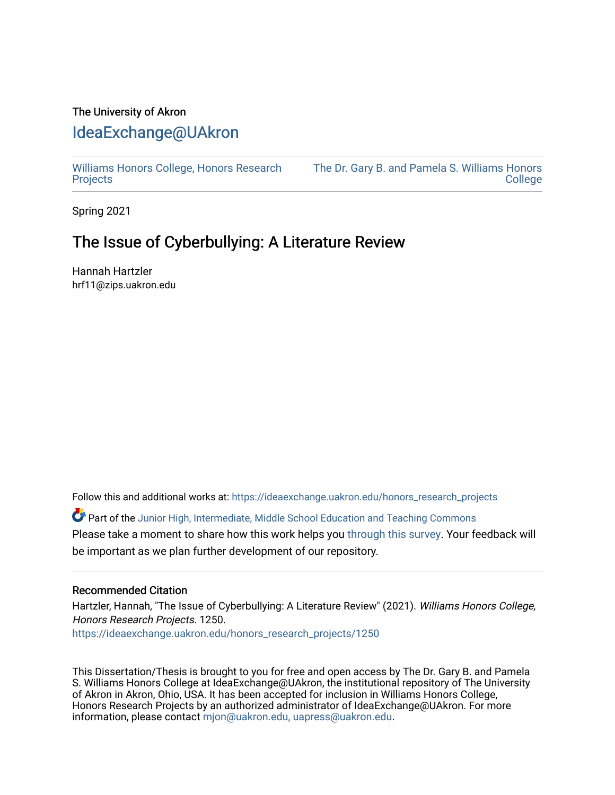# The University of Akron [IdeaExchange@UAkron](https://ideaexchange.uakron.edu/)

[Williams Honors College, Honors Research](https://ideaexchange.uakron.edu/honors_research_projects)  **[Projects](https://ideaexchange.uakron.edu/honors_research_projects)** 

[The Dr. Gary B. and Pamela S. Williams Honors](https://ideaexchange.uakron.edu/honorscollege_ideas)  **College** 

Spring 2021

# The Issue of Cyberbullying: A Literature Review

Hannah Hartzler hrf11@zips.uakron.edu

Follow this and additional works at: [https://ideaexchange.uakron.edu/honors\\_research\\_projects](https://ideaexchange.uakron.edu/honors_research_projects?utm_source=ideaexchange.uakron.edu%2Fhonors_research_projects%2F1250&utm_medium=PDF&utm_campaign=PDFCoverPages) 

Part of the [Junior High, Intermediate, Middle School Education and Teaching Commons](http://network.bepress.com/hgg/discipline/807?utm_source=ideaexchange.uakron.edu%2Fhonors_research_projects%2F1250&utm_medium=PDF&utm_campaign=PDFCoverPages) Please take a moment to share how this work helps you [through this survey](http://survey.az1.qualtrics.com/SE/?SID=SV_eEVH54oiCbOw05f&URL=https://ideaexchange.uakron.edu/honors_research_projects/1250). Your feedback will be important as we plan further development of our repository.

# Recommended Citation

Hartzler, Hannah, "The Issue of Cyberbullying: A Literature Review" (2021). Williams Honors College, Honors Research Projects. 1250.

[https://ideaexchange.uakron.edu/honors\\_research\\_projects/1250](https://ideaexchange.uakron.edu/honors_research_projects/1250?utm_source=ideaexchange.uakron.edu%2Fhonors_research_projects%2F1250&utm_medium=PDF&utm_campaign=PDFCoverPages) 

This Dissertation/Thesis is brought to you for free and open access by The Dr. Gary B. and Pamela S. Williams Honors College at IdeaExchange@UAkron, the institutional repository of The University of Akron in Akron, Ohio, USA. It has been accepted for inclusion in Williams Honors College, Honors Research Projects by an authorized administrator of IdeaExchange@UAkron. For more information, please contact [mjon@uakron.edu, uapress@uakron.edu.](mailto:mjon@uakron.edu,%20uapress@uakron.edu)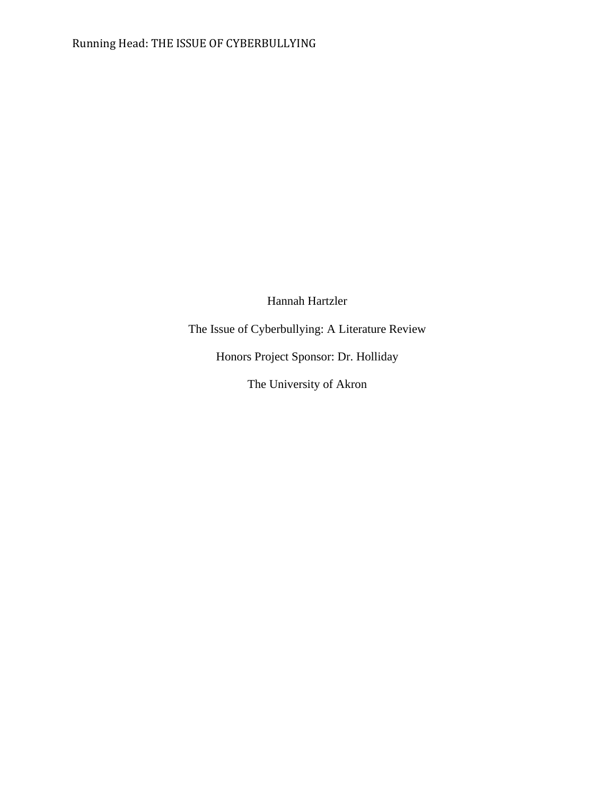Hannah Hartzler

The Issue of Cyberbullying: A Literature Review

Honors Project Sponsor: Dr. Holliday

The University of Akron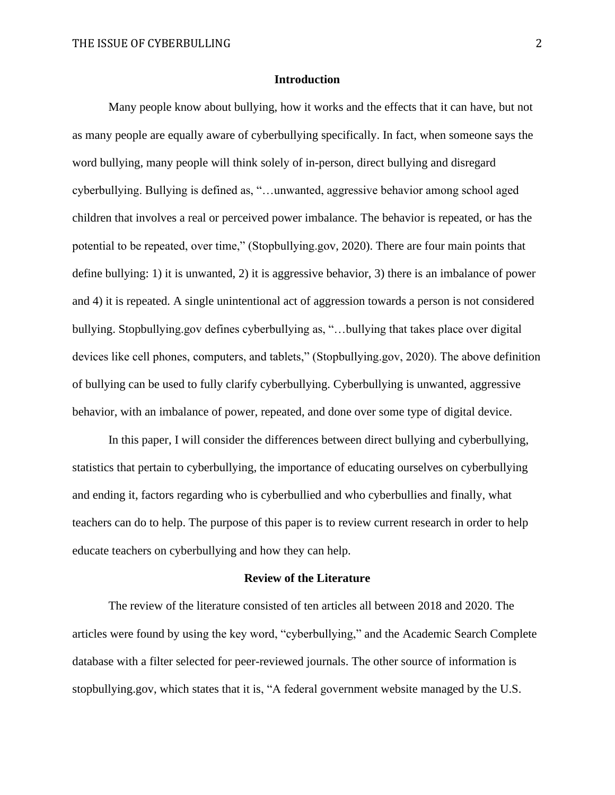### **Introduction**

Many people know about bullying, how it works and the effects that it can have, but not as many people are equally aware of cyberbullying specifically. In fact, when someone says the word bullying, many people will think solely of in-person, direct bullying and disregard cyberbullying. Bullying is defined as, "…unwanted, aggressive behavior among school aged children that involves a real or perceived power imbalance. The behavior is repeated, or has the potential to be repeated, over time," (Stopbullying.gov, 2020). There are four main points that define bullying: 1) it is unwanted, 2) it is aggressive behavior, 3) there is an imbalance of power and 4) it is repeated. A single unintentional act of aggression towards a person is not considered bullying. Stopbullying.gov defines cyberbullying as, "…bullying that takes place over digital devices like cell phones, computers, and tablets," (Stopbullying.gov, 2020). The above definition of bullying can be used to fully clarify cyberbullying. Cyberbullying is unwanted, aggressive behavior, with an imbalance of power, repeated, and done over some type of digital device.

In this paper, I will consider the differences between direct bullying and cyberbullying, statistics that pertain to cyberbullying, the importance of educating ourselves on cyberbullying and ending it, factors regarding who is cyberbullied and who cyberbullies and finally, what teachers can do to help. The purpose of this paper is to review current research in order to help educate teachers on cyberbullying and how they can help.

#### **Review of the Literature**

The review of the literature consisted of ten articles all between 2018 and 2020. The articles were found by using the key word, "cyberbullying," and the Academic Search Complete database with a filter selected for peer-reviewed journals. The other source of information is stopbullying.gov, which states that it is, "A federal government website managed by the U.S.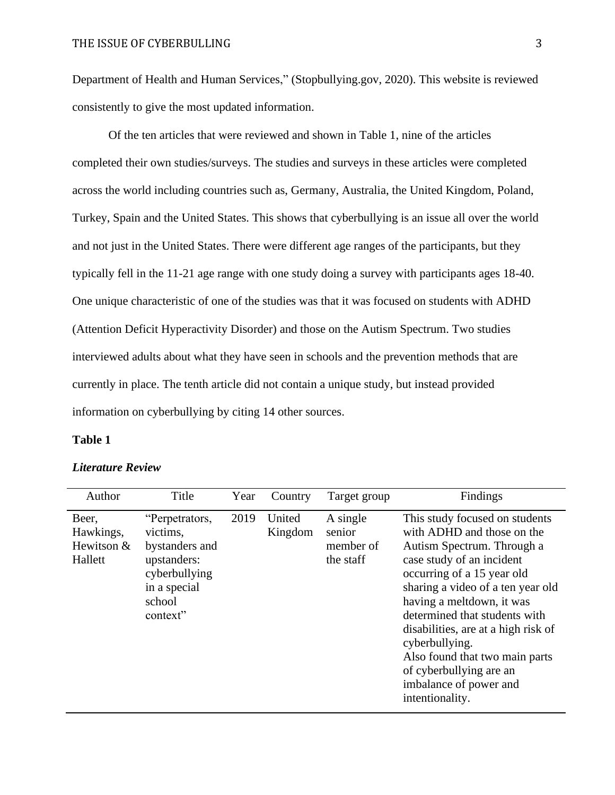Department of Health and Human Services," (Stopbullying.gov, 2020). This website is reviewed consistently to give the most updated information.

Of the ten articles that were reviewed and shown in Table 1, nine of the articles completed their own studies/surveys. The studies and surveys in these articles were completed across the world including countries such as, Germany, Australia, the United Kingdom, Poland, Turkey, Spain and the United States. This shows that cyberbullying is an issue all over the world and not just in the United States. There were different age ranges of the participants, but they typically fell in the 11-21 age range with one study doing a survey with participants ages 18-40. One unique characteristic of one of the studies was that it was focused on students with ADHD (Attention Deficit Hyperactivity Disorder) and those on the Autism Spectrum. Two studies interviewed adults about what they have seen in schools and the prevention methods that are currently in place. The tenth article did not contain a unique study, but instead provided information on cyberbullying by citing 14 other sources.

### **Table 1**

| Author                                      | Title                                                                                                              | Year | Country           | Target group                                 | Findings                                                                                                                                                                                                                                                                                                                                                                                                                    |
|---------------------------------------------|--------------------------------------------------------------------------------------------------------------------|------|-------------------|----------------------------------------------|-----------------------------------------------------------------------------------------------------------------------------------------------------------------------------------------------------------------------------------------------------------------------------------------------------------------------------------------------------------------------------------------------------------------------------|
| Beer,<br>Hawkings,<br>Hewitson &<br>Hallett | "Perpetrators,<br>victims,<br>bystanders and<br>upstanders:<br>cyberbullying<br>in a special<br>school<br>context" | 2019 | United<br>Kingdom | A single<br>senior<br>member of<br>the staff | This study focused on students<br>with ADHD and those on the<br>Autism Spectrum. Through a<br>case study of an incident<br>occurring of a 15 year old<br>sharing a video of a ten year old<br>having a meltdown, it was<br>determined that students with<br>disabilities, are at a high risk of<br>cyberbullying.<br>Also found that two main parts<br>of cyberbullying are an<br>imbalance of power and<br>intentionality. |

#### *Literature Review*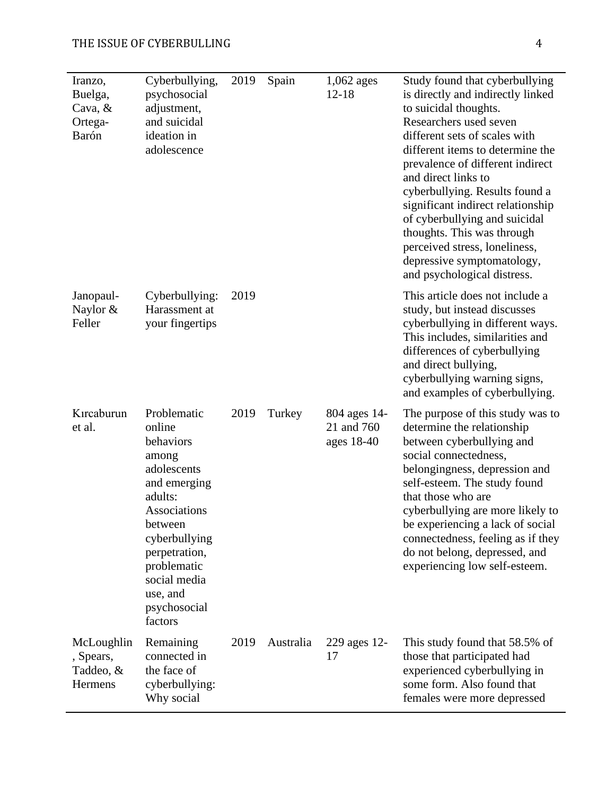# THE ISSUE OF CYBERBULLING 4

| Iranzo,<br>Buelga,<br>Cava, $&$<br>Ortega-<br>Barón | Cyberbullying,<br>psychosocial<br>adjustment,<br>and suicidal<br>ideation in<br>adolescence                                                                                                                              | 2019 | Spain     | $1,062$ ages<br>$12 - 18$                | Study found that cyberbullying<br>is directly and indirectly linked<br>to suicidal thoughts.<br>Researchers used seven<br>different sets of scales with<br>different items to determine the<br>prevalence of different indirect<br>and direct links to<br>cyberbullying. Results found a<br>significant indirect relationship<br>of cyberbullying and suicidal<br>thoughts. This was through<br>perceived stress, loneliness,<br>depressive symptomatology,<br>and psychological distress. |
|-----------------------------------------------------|--------------------------------------------------------------------------------------------------------------------------------------------------------------------------------------------------------------------------|------|-----------|------------------------------------------|--------------------------------------------------------------------------------------------------------------------------------------------------------------------------------------------------------------------------------------------------------------------------------------------------------------------------------------------------------------------------------------------------------------------------------------------------------------------------------------------|
| Janopaul-<br>Naylor &<br>Feller                     | Cyberbullying:<br>Harassment at<br>your fingertips                                                                                                                                                                       | 2019 |           |                                          | This article does not include a<br>study, but instead discusses<br>cyberbullying in different ways.<br>This includes, similarities and<br>differences of cyberbullying<br>and direct bullying,<br>cyberbullying warning signs,<br>and examples of cyberbullying.                                                                                                                                                                                                                           |
| Kırcaburun<br>et al.                                | Problematic<br>online<br>behaviors<br>among<br>adolescents<br>and emerging<br>adults:<br>Associations<br>between<br>cyberbullying<br>perpetration,<br>problematic<br>social media<br>use, and<br>psychosocial<br>factors | 2019 | Turkey    | 804 ages 14-<br>21 and 760<br>ages 18-40 | The purpose of this study was to<br>determine the relationship<br>between cyberbullying and<br>social connectedness,<br>belongingness, depression and<br>self-esteem. The study found<br>that those who are<br>cyberbullying are more likely to<br>be experiencing a lack of social<br>connectedness, feeling as if they<br>do not belong, depressed, and<br>experiencing low self-esteem.                                                                                                 |
| McLoughlin<br>, Spears,<br>Taddeo, &<br>Hermens     | Remaining<br>connected in<br>the face of<br>cyberbullying:<br>Why social                                                                                                                                                 | 2019 | Australia | 229 ages 12-<br>17                       | This study found that 58.5% of<br>those that participated had<br>experienced cyberbullying in<br>some form. Also found that<br>females were more depressed                                                                                                                                                                                                                                                                                                                                 |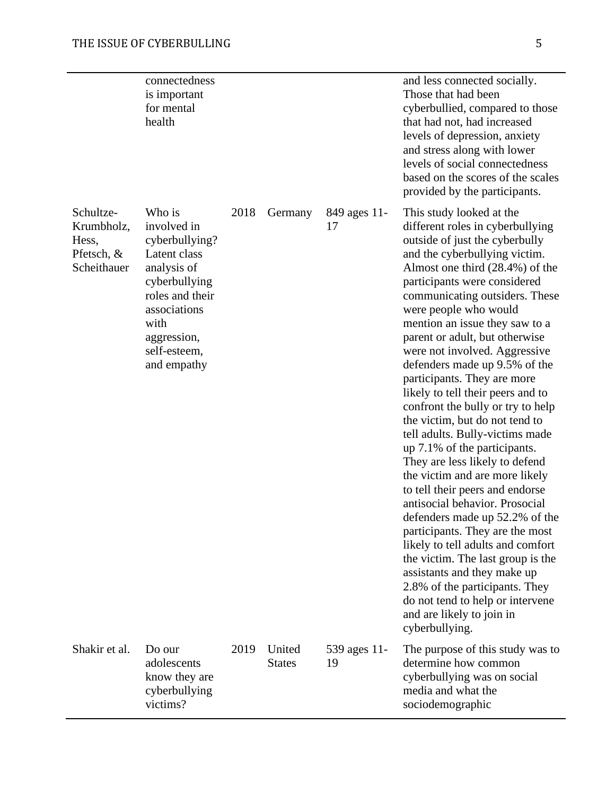|                                                               | connectedness<br>is important<br>for mental<br>health                                                                                                                            |      |                         |                    | and less connected socially.<br>Those that had been<br>cyberbullied, compared to those<br>that had not, had increased<br>levels of depression, anxiety<br>and stress along with lower<br>levels of social connectedness<br>based on the scores of the scales<br>provided by the participants.                                                                                                                                                                                                                                                                                                                                                                                                                                                                                                                                                                                                                                                                                                                                                                 |
|---------------------------------------------------------------|----------------------------------------------------------------------------------------------------------------------------------------------------------------------------------|------|-------------------------|--------------------|---------------------------------------------------------------------------------------------------------------------------------------------------------------------------------------------------------------------------------------------------------------------------------------------------------------------------------------------------------------------------------------------------------------------------------------------------------------------------------------------------------------------------------------------------------------------------------------------------------------------------------------------------------------------------------------------------------------------------------------------------------------------------------------------------------------------------------------------------------------------------------------------------------------------------------------------------------------------------------------------------------------------------------------------------------------|
| Schultze-<br>Krumbholz,<br>Hess,<br>Pfetsch, &<br>Scheithauer | Who is<br>involved in<br>cyberbullying?<br>Latent class<br>analysis of<br>cyberbullying<br>roles and their<br>associations<br>with<br>aggression,<br>self-esteem,<br>and empathy | 2018 | Germany                 | 849 ages 11-<br>17 | This study looked at the<br>different roles in cyberbullying<br>outside of just the cyberbully<br>and the cyberbullying victim.<br>Almost one third (28.4%) of the<br>participants were considered<br>communicating outsiders. These<br>were people who would<br>mention an issue they saw to a<br>parent or adult, but otherwise<br>were not involved. Aggressive<br>defenders made up 9.5% of the<br>participants. They are more<br>likely to tell their peers and to<br>confront the bully or try to help<br>the victim, but do not tend to<br>tell adults. Bully-victims made<br>up 7.1% of the participants.<br>They are less likely to defend<br>the victim and are more likely<br>to tell their peers and endorse<br>antisocial behavior. Prosocial<br>defenders made up 52.2% of the<br>participants. They are the most<br>likely to tell adults and comfort<br>the victim. The last group is the<br>assistants and they make up<br>2.8% of the participants. They<br>do not tend to help or intervene<br>and are likely to join in<br>cyberbullying. |
| Shakir et al.                                                 | Do our<br>adolescents<br>know they are<br>cyberbullying<br>victims?                                                                                                              | 2019 | United<br><b>States</b> | 539 ages 11-<br>19 | The purpose of this study was to<br>determine how common<br>cyberbullying was on social<br>media and what the<br>sociodemographic                                                                                                                                                                                                                                                                                                                                                                                                                                                                                                                                                                                                                                                                                                                                                                                                                                                                                                                             |
|                                                               |                                                                                                                                                                                  |      |                         |                    |                                                                                                                                                                                                                                                                                                                                                                                                                                                                                                                                                                                                                                                                                                                                                                                                                                                                                                                                                                                                                                                               |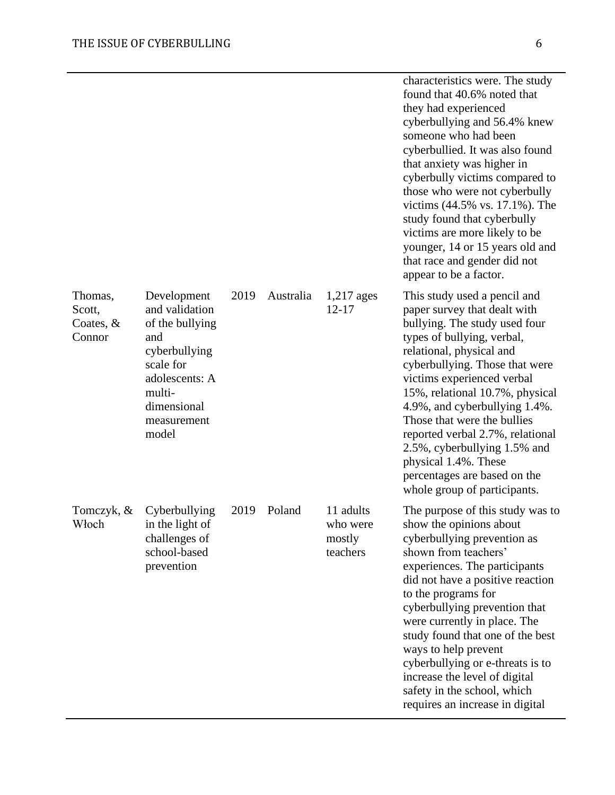|                                            |                                                                                                                                                          |      |           |                                             | characteristics were. The study<br>found that 40.6% noted that<br>they had experienced<br>cyberbullying and 56.4% knew<br>someone who had been<br>cyberbullied. It was also found<br>that anxiety was higher in<br>cyberbully victims compared to<br>those who were not cyberbully<br>victims (44.5% vs. 17.1%). The<br>study found that cyberbully<br>victims are more likely to be<br>younger, 14 or 15 years old and<br>that race and gender did not<br>appear to be a factor.      |
|--------------------------------------------|----------------------------------------------------------------------------------------------------------------------------------------------------------|------|-----------|---------------------------------------------|----------------------------------------------------------------------------------------------------------------------------------------------------------------------------------------------------------------------------------------------------------------------------------------------------------------------------------------------------------------------------------------------------------------------------------------------------------------------------------------|
| Thomas,<br>Scott,<br>Coates, $&$<br>Connor | Development<br>and validation<br>of the bullying<br>and<br>cyberbullying<br>scale for<br>adolescents: A<br>multi-<br>dimensional<br>measurement<br>model | 2019 | Australia | $1,217$ ages<br>$12 - 17$                   | This study used a pencil and<br>paper survey that dealt with<br>bullying. The study used four<br>types of bullying, verbal,<br>relational, physical and<br>cyberbullying. Those that were<br>victims experienced verbal<br>15%, relational 10.7%, physical<br>4.9%, and cyberbullying 1.4%.<br>Those that were the bullies<br>reported verbal 2.7%, relational<br>2.5%, cyberbullying 1.5% and<br>physical 1.4%. These<br>percentages are based on the<br>whole group of participants. |
| Tomczyk, &<br>Włoch                        | Cyberbullying<br>in the light of<br>challenges of<br>school-based<br>prevention                                                                          | 2019 | Poland    | 11 adults<br>who were<br>mostly<br>teachers | The purpose of this study was to<br>show the opinions about<br>cyberbullying prevention as<br>shown from teachers'<br>experiences. The participants<br>did not have a positive reaction<br>to the programs for<br>cyberbullying prevention that<br>were currently in place. The<br>study found that one of the best<br>ways to help prevent<br>cyberbullying or e-threats is to<br>increase the level of digital<br>safety in the school, which<br>requires an increase in digital     |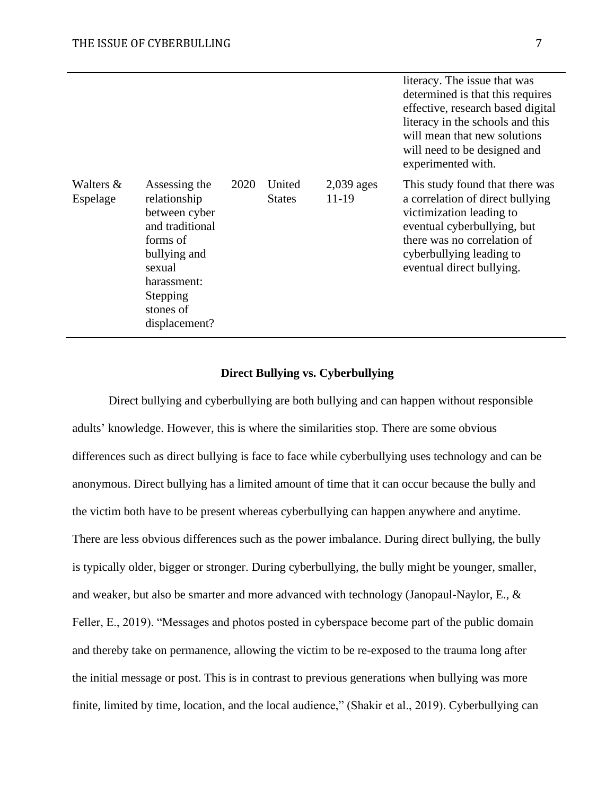|                       |                                                                                                                                                                  |      |                         |                         | literacy. The issue that was<br>determined is that this requires<br>effective, research based digital<br>literacy in the schools and this<br>will mean that new solutions<br>will need to be designed and<br>experimented with. |
|-----------------------|------------------------------------------------------------------------------------------------------------------------------------------------------------------|------|-------------------------|-------------------------|---------------------------------------------------------------------------------------------------------------------------------------------------------------------------------------------------------------------------------|
| Walters &<br>Espelage | Assessing the<br>relationship<br>between cyber<br>and traditional<br>forms of<br>bullying and<br>sexual<br>harassment:<br>Stepping<br>stones of<br>displacement? | 2020 | United<br><b>States</b> | $2,039$ ages<br>$11-19$ | This study found that there was<br>a correlation of direct bullying<br>victimization leading to<br>eventual cyberbullying, but<br>there was no correlation of<br>cyberbullying leading to<br>eventual direct bullying.          |

## **Direct Bullying vs. Cyberbullying**

Direct bullying and cyberbullying are both bullying and can happen without responsible adults' knowledge. However, this is where the similarities stop. There are some obvious differences such as direct bullying is face to face while cyberbullying uses technology and can be anonymous. Direct bullying has a limited amount of time that it can occur because the bully and the victim both have to be present whereas cyberbullying can happen anywhere and anytime. There are less obvious differences such as the power imbalance. During direct bullying, the bully is typically older, bigger or stronger. During cyberbullying, the bully might be younger, smaller, and weaker, but also be smarter and more advanced with technology (Janopaul-Naylor, E., & Feller, E., 2019). "Messages and photos posted in cyberspace become part of the public domain and thereby take on permanence, allowing the victim to be re-exposed to the trauma long after the initial message or post. This is in contrast to previous generations when bullying was more finite, limited by time, location, and the local audience," (Shakir et al., 2019). Cyberbullying can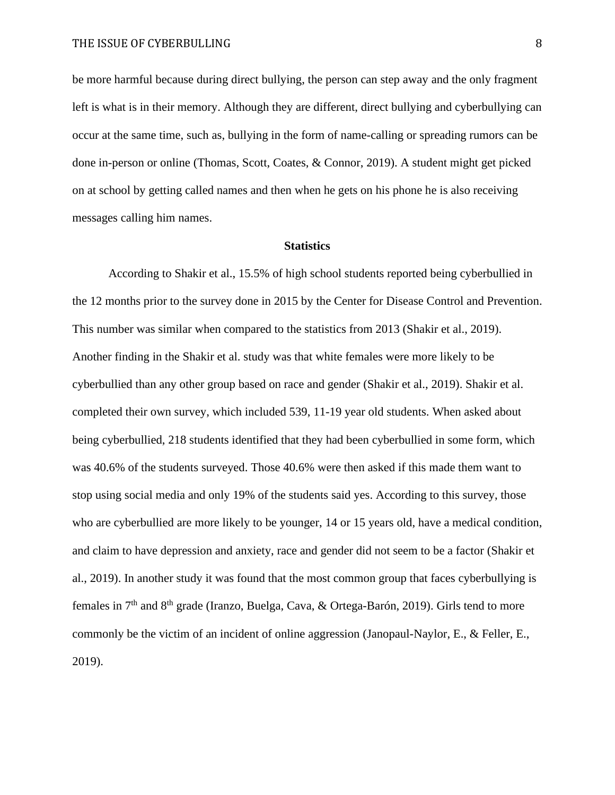be more harmful because during direct bullying, the person can step away and the only fragment left is what is in their memory. Although they are different, direct bullying and cyberbullying can occur at the same time, such as, bullying in the form of name-calling or spreading rumors can be done in-person or online (Thomas, Scott, Coates, & Connor, 2019). A student might get picked on at school by getting called names and then when he gets on his phone he is also receiving messages calling him names.

#### **Statistics**

According to Shakir et al., 15.5% of high school students reported being cyberbullied in the 12 months prior to the survey done in 2015 by the Center for Disease Control and Prevention. This number was similar when compared to the statistics from 2013 (Shakir et al., 2019). Another finding in the Shakir et al. study was that white females were more likely to be cyberbullied than any other group based on race and gender (Shakir et al., 2019). Shakir et al. completed their own survey, which included 539, 11-19 year old students. When asked about being cyberbullied, 218 students identified that they had been cyberbullied in some form, which was 40.6% of the students surveyed. Those 40.6% were then asked if this made them want to stop using social media and only 19% of the students said yes. According to this survey, those who are cyberbullied are more likely to be younger, 14 or 15 years old, have a medical condition, and claim to have depression and anxiety, race and gender did not seem to be a factor (Shakir et al., 2019). In another study it was found that the most common group that faces cyberbullying is females in  $7<sup>th</sup>$  and  $8<sup>th</sup>$  grade (Iranzo, Buelga, Cava, & Ortega-Barón, 2019). Girls tend to more commonly be the victim of an incident of online aggression (Janopaul-Naylor, E., & Feller, E., 2019).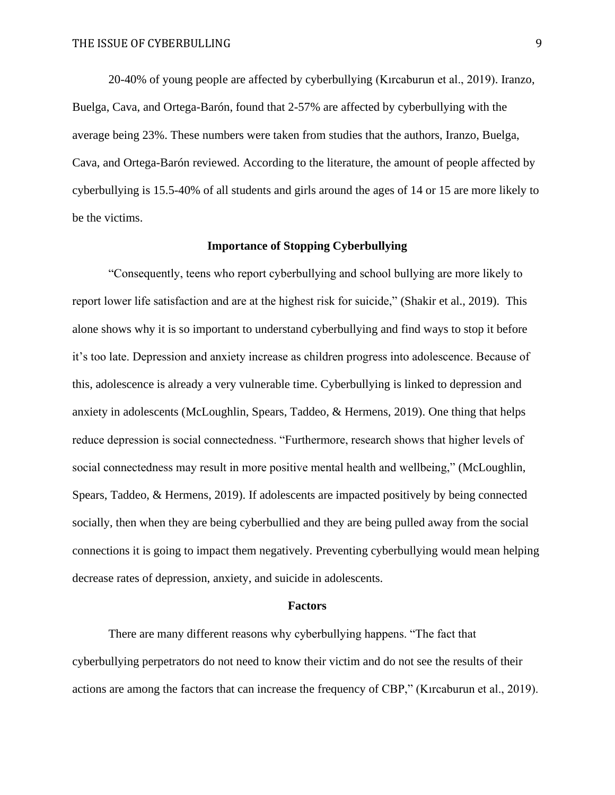20-40% of young people are affected by cyberbullying (Kırcaburun et al., 2019). Iranzo, Buelga, Cava, and Ortega-Barón, found that 2-57% are affected by cyberbullying with the average being 23%. These numbers were taken from studies that the authors, Iranzo, Buelga, Cava, and Ortega-Barón reviewed. According to the literature, the amount of people affected by cyberbullying is 15.5-40% of all students and girls around the ages of 14 or 15 are more likely to be the victims.

# **Importance of Stopping Cyberbullying**

"Consequently, teens who report cyberbullying and school bullying are more likely to report lower life satisfaction and are at the highest risk for suicide," (Shakir et al., 2019). This alone shows why it is so important to understand cyberbullying and find ways to stop it before it's too late. Depression and anxiety increase as children progress into adolescence. Because of this, adolescence is already a very vulnerable time. Cyberbullying is linked to depression and anxiety in adolescents (McLoughlin, Spears, Taddeo, & Hermens, 2019). One thing that helps reduce depression is social connectedness. "Furthermore, research shows that higher levels of social connectedness may result in more positive mental health and wellbeing," (McLoughlin, Spears, Taddeo, & Hermens, 2019). If adolescents are impacted positively by being connected socially, then when they are being cyberbullied and they are being pulled away from the social connections it is going to impact them negatively. Preventing cyberbullying would mean helping decrease rates of depression, anxiety, and suicide in adolescents.

#### **Factors**

There are many different reasons why cyberbullying happens. "The fact that cyberbullying perpetrators do not need to know their victim and do not see the results of their actions are among the factors that can increase the frequency of CBP," (Kırcaburun et al., 2019).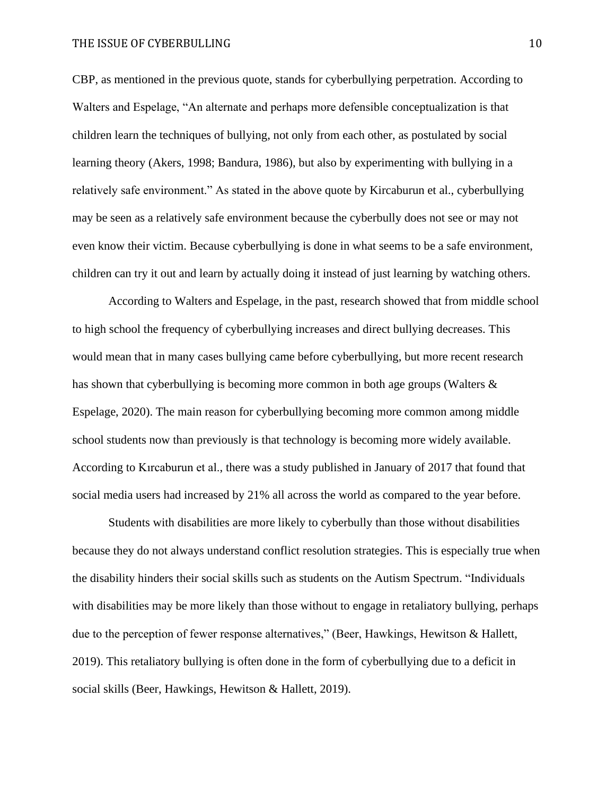CBP, as mentioned in the previous quote, stands for cyberbullying perpetration. According to Walters and Espelage, "An alternate and perhaps more defensible conceptualization is that children learn the techniques of bullying, not only from each other, as postulated by social learning theory (Akers, 1998; Bandura, 1986), but also by experimenting with bullying in a relatively safe environment." As stated in the above quote by Kircaburun et al., cyberbullying may be seen as a relatively safe environment because the cyberbully does not see or may not even know their victim. Because cyberbullying is done in what seems to be a safe environment, children can try it out and learn by actually doing it instead of just learning by watching others.

According to Walters and Espelage, in the past, research showed that from middle school to high school the frequency of cyberbullying increases and direct bullying decreases. This would mean that in many cases bullying came before cyberbullying, but more recent research has shown that cyberbullying is becoming more common in both age groups (Walters & Espelage, 2020). The main reason for cyberbullying becoming more common among middle school students now than previously is that technology is becoming more widely available. According to Kırcaburun et al., there was a study published in January of 2017 that found that social media users had increased by 21% all across the world as compared to the year before.

Students with disabilities are more likely to cyberbully than those without disabilities because they do not always understand conflict resolution strategies. This is especially true when the disability hinders their social skills such as students on the Autism Spectrum. "Individuals with disabilities may be more likely than those without to engage in retaliatory bullying, perhaps due to the perception of fewer response alternatives," (Beer, Hawkings, Hewitson & Hallett, 2019). This retaliatory bullying is often done in the form of cyberbullying due to a deficit in social skills (Beer, Hawkings, Hewitson & Hallett, 2019).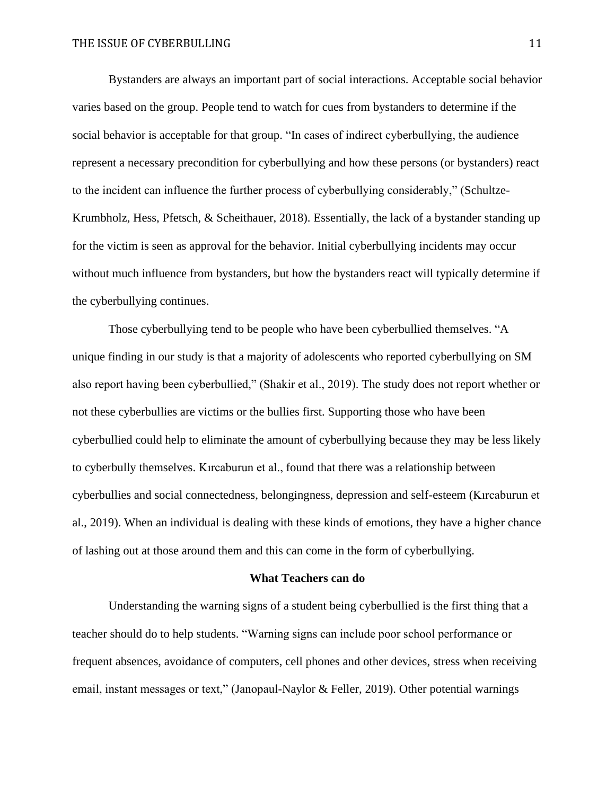Bystanders are always an important part of social interactions. Acceptable social behavior varies based on the group. People tend to watch for cues from bystanders to determine if the social behavior is acceptable for that group. "In cases of indirect cyberbullying, the audience represent a necessary precondition for cyberbullying and how these persons (or bystanders) react to the incident can influence the further process of cyberbullying considerably," (Schultze-Krumbholz, Hess, Pfetsch, & Scheithauer, 2018). Essentially, the lack of a bystander standing up for the victim is seen as approval for the behavior. Initial cyberbullying incidents may occur without much influence from bystanders, but how the bystanders react will typically determine if the cyberbullying continues.

Those cyberbullying tend to be people who have been cyberbullied themselves. "A unique finding in our study is that a majority of adolescents who reported cyberbullying on SM also report having been cyberbullied," (Shakir et al., 2019). The study does not report whether or not these cyberbullies are victims or the bullies first. Supporting those who have been cyberbullied could help to eliminate the amount of cyberbullying because they may be less likely to cyberbully themselves. Kırcaburun et al., found that there was a relationship between cyberbullies and social connectedness, belongingness, depression and self-esteem (Kırcaburun et al., 2019). When an individual is dealing with these kinds of emotions, they have a higher chance of lashing out at those around them and this can come in the form of cyberbullying.

#### **What Teachers can do**

Understanding the warning signs of a student being cyberbullied is the first thing that a teacher should do to help students. "Warning signs can include poor school performance or frequent absences, avoidance of computers, cell phones and other devices, stress when receiving email, instant messages or text," (Janopaul-Naylor & Feller, 2019). Other potential warnings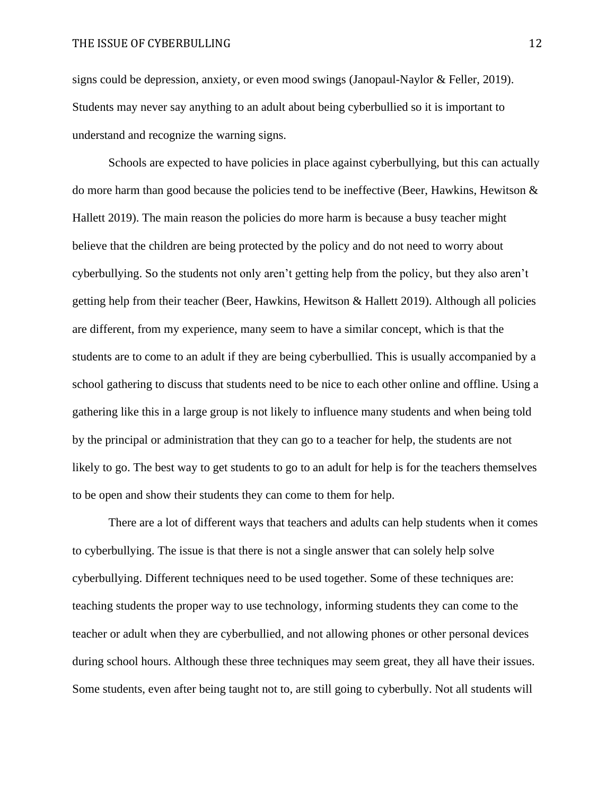signs could be depression, anxiety, or even mood swings (Janopaul-Naylor & Feller, 2019). Students may never say anything to an adult about being cyberbullied so it is important to understand and recognize the warning signs.

Schools are expected to have policies in place against cyberbullying, but this can actually do more harm than good because the policies tend to be ineffective (Beer, Hawkins, Hewitson & Hallett 2019). The main reason the policies do more harm is because a busy teacher might believe that the children are being protected by the policy and do not need to worry about cyberbullying. So the students not only aren't getting help from the policy, but they also aren't getting help from their teacher (Beer, Hawkins, Hewitson & Hallett 2019). Although all policies are different, from my experience, many seem to have a similar concept, which is that the students are to come to an adult if they are being cyberbullied. This is usually accompanied by a school gathering to discuss that students need to be nice to each other online and offline. Using a gathering like this in a large group is not likely to influence many students and when being told by the principal or administration that they can go to a teacher for help, the students are not likely to go. The best way to get students to go to an adult for help is for the teachers themselves to be open and show their students they can come to them for help.

There are a lot of different ways that teachers and adults can help students when it comes to cyberbullying. The issue is that there is not a single answer that can solely help solve cyberbullying. Different techniques need to be used together. Some of these techniques are: teaching students the proper way to use technology, informing students they can come to the teacher or adult when they are cyberbullied, and not allowing phones or other personal devices during school hours. Although these three techniques may seem great, they all have their issues. Some students, even after being taught not to, are still going to cyberbully. Not all students will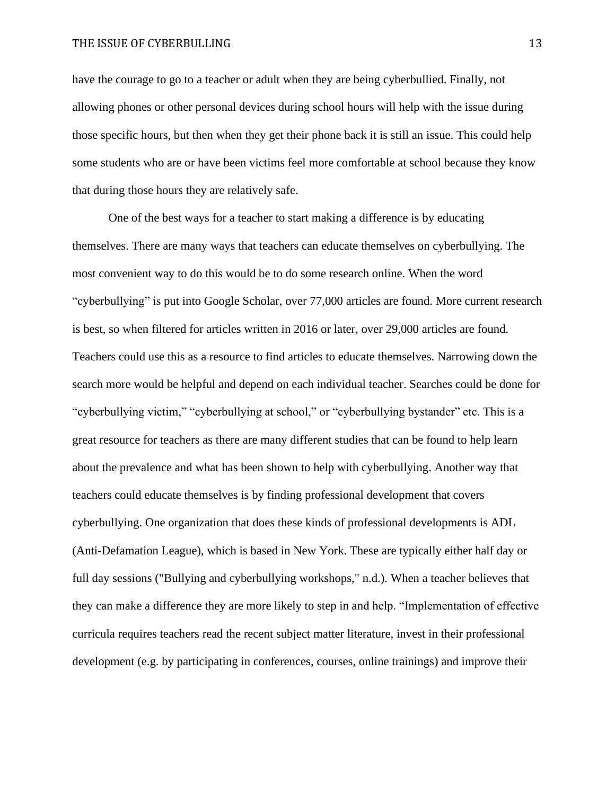### THE ISSUE OF CYBERBULLING 13

have the courage to go to a teacher or adult when they are being cyberbullied. Finally, not allowing phones or other personal devices during school hours will help with the issue during those specific hours, but then when they get their phone back it is still an issue. This could help some students who are or have been victims feel more comfortable at school because they know that during those hours they are relatively safe.

One of the best ways for a teacher to start making a difference is by educating themselves. There are many ways that teachers can educate themselves on cyberbullying. The most convenient way to do this would be to do some research online. When the word "cyberbullying" is put into Google Scholar, over 77,000 articles are found. More current research is best, so when filtered for articles written in 2016 or later, over 29,000 articles are found. Teachers could use this as a resource to find articles to educate themselves. Narrowing down the search more would be helpful and depend on each individual teacher. Searches could be done for "cyberbullying victim," "cyberbullying at school," or "cyberbullying bystander" etc. This is a great resource for teachers as there are many different studies that can be found to help learn about the prevalence and what has been shown to help with cyberbullying. Another way that teachers could educate themselves is by finding professional development that covers cyberbullying. One organization that does these kinds of professional developments is ADL (Anti-Defamation League), which is based in New York. These are typically either half day or full day sessions ("Bullying and cyberbullying workshops," n.d.). When a teacher believes that they can make a difference they are more likely to step in and help. "Implementation of effective curricula requires teachers read the recent subject matter literature, invest in their professional development (e.g. by participating in conferences, courses, online trainings) and improve their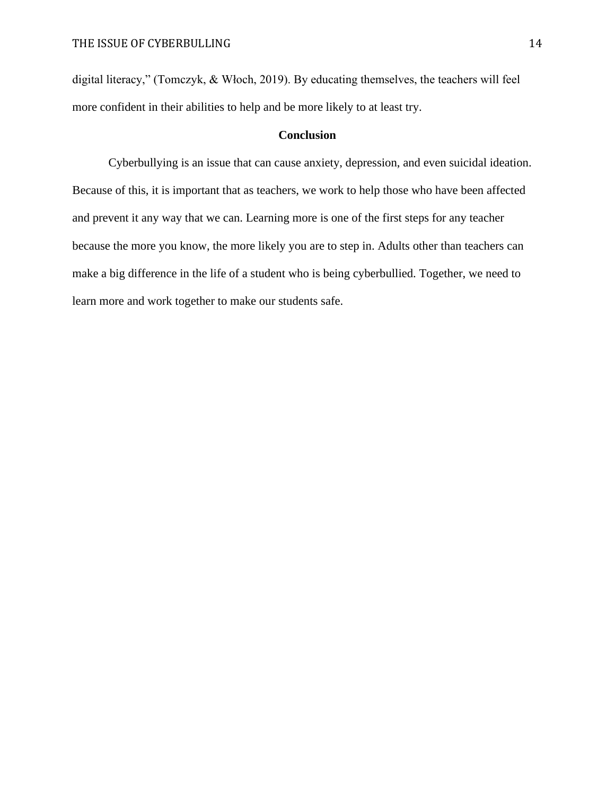digital literacy," (Tomczyk, & Włoch, 2019). By educating themselves, the teachers will feel more confident in their abilities to help and be more likely to at least try.

# **Conclusion**

Cyberbullying is an issue that can cause anxiety, depression, and even suicidal ideation. Because of this, it is important that as teachers, we work to help those who have been affected and prevent it any way that we can. Learning more is one of the first steps for any teacher because the more you know, the more likely you are to step in. Adults other than teachers can make a big difference in the life of a student who is being cyberbullied. Together, we need to learn more and work together to make our students safe.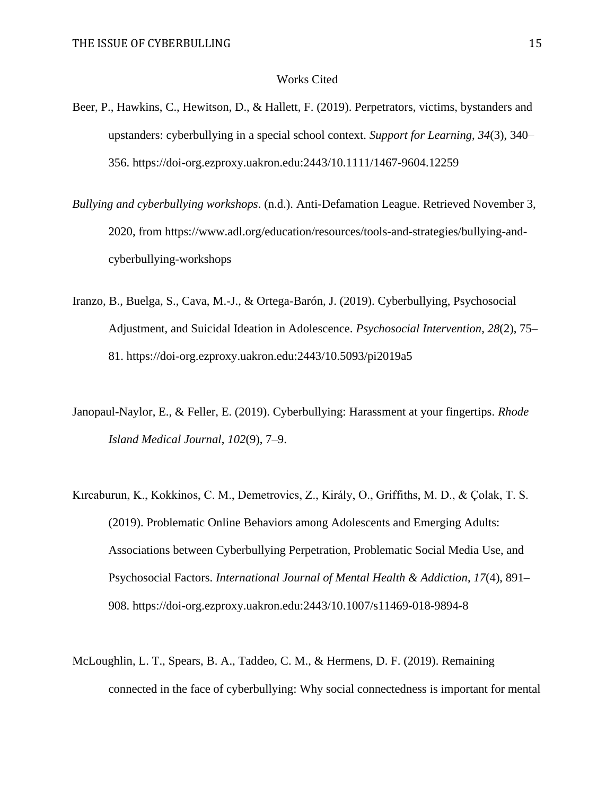#### Works Cited

- Beer, P., Hawkins, C., Hewitson, D., & Hallett, F. (2019). Perpetrators, victims, bystanders and upstanders: cyberbullying in a special school context. *Support for Learning*, *34*(3), 340– 356.<https://doi-org.ezproxy.uakron.edu:2443/10.1111/1467-9604.12259>
- *Bullying and cyberbullying workshops*. (n.d.). Anti-Defamation League. Retrieved November 3, 2020, from [https://www.adl.org/education/resources/tools-and-strategies/bullying-and](https://www.adl.org/education/resources/tools-and-strategies/bullying-and-cyberbullying-workshops)[cyberbullying-workshops](https://www.adl.org/education/resources/tools-and-strategies/bullying-and-cyberbullying-workshops)
- Iranzo, B., Buelga, S., Cava, M.-J., & Ortega-Barón, J. (2019). Cyberbullying, Psychosocial Adjustment, and Suicidal Ideation in Adolescence. *Psychosocial Intervention*, *28*(2), 75– 81.<https://doi-org.ezproxy.uakron.edu:2443/10.5093/pi2019a5>
- Janopaul-Naylor, E., & Feller, E. (2019). Cyberbullying: Harassment at your fingertips. *Rhode Island Medical Journal*, *102*(9), 7–9.
- Kırcaburun, K., Kokkinos, C. M., Demetrovics, Z., Király, O., Griffiths, M. D., & Çolak, T. S. (2019). Problematic Online Behaviors among Adolescents and Emerging Adults: Associations between Cyberbullying Perpetration, Problematic Social Media Use, and Psychosocial Factors. *International Journal of Mental Health & Addiction*, *17*(4), 891– 908.<https://doi-org.ezproxy.uakron.edu:2443/10.1007/s11469-018-9894-8>
- McLoughlin, L. T., Spears, B. A., Taddeo, C. M., & Hermens, D. F. (2019). Remaining connected in the face of cyberbullying: Why social connectedness is important for mental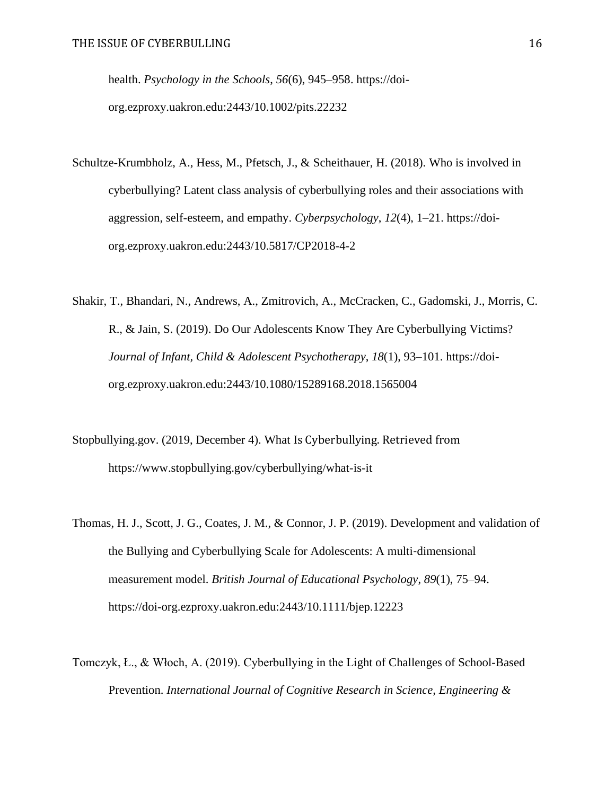health. *Psychology in the Schools*, *56*(6), 945–958. [https://doi](https://doi-org.ezproxy.uakron.edu:2443/10.1002/pits.22232)[org.ezproxy.uakron.edu:2443/10.1002/pits.22232](https://doi-org.ezproxy.uakron.edu:2443/10.1002/pits.22232)

- Schultze-Krumbholz, A., Hess, M., Pfetsch, J., & Scheithauer, H. (2018). Who is involved in cyberbullying? Latent class analysis of cyberbullying roles and their associations with aggression, self-esteem, and empathy. *Cyberpsychology*, *12*(4), 1–21. [https://doi](https://doi-org.ezproxy.uakron.edu:2443/10.5817/CP2018-4-2)[org.ezproxy.uakron.edu:2443/10.5817/CP2018-4-2](https://doi-org.ezproxy.uakron.edu:2443/10.5817/CP2018-4-2)
- Shakir, T., Bhandari, N., Andrews, A., Zmitrovich, A., McCracken, C., Gadomski, J., Morris, C. R., & Jain, S. (2019). Do Our Adolescents Know They Are Cyberbullying Victims? *Journal of Infant, Child & Adolescent Psychotherapy*, *18*(1), 93–101. [https://doi](https://doi-org.ezproxy.uakron.edu:2443/10.1080/15289168.2018.1565004)[org.ezproxy.uakron.edu:2443/10.1080/15289168.2018.1565004](https://doi-org.ezproxy.uakron.edu:2443/10.1080/15289168.2018.1565004)
- Stopbullying.gov. (2019, December 4). What Is Cyberbullying. Retrieved from https://www.stopbullying.gov/cyberbullying/what-is-it
- Thomas, H. J., Scott, J. G., Coates, J. M., & Connor, J. P. (2019). Development and validation of the Bullying and Cyberbullying Scale for Adolescents: A multi‐dimensional measurement model. *British Journal of Educational Psychology*, *89*(1), 75–94. <https://doi-org.ezproxy.uakron.edu:2443/10.1111/bjep.12223>
- Tomczyk, Ł., & Włoch, A. (2019). Cyberbullying in the Light of Challenges of School-Based Prevention. *International Journal of Cognitive Research in Science, Engineering &*